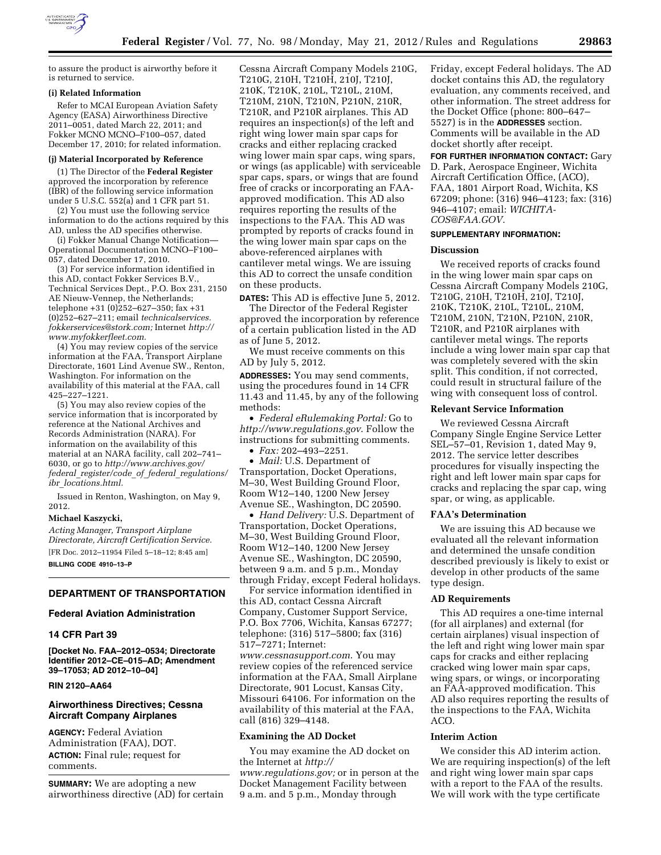

to assure the product is airworthy before it is returned to service.

### **(i) Related Information**

Refer to MCAI European Aviation Safety Agency (EASA) Airworthiness Directive 2011–0051, dated March 22, 2011; and Fokker MCNO MCNO–F100–057, dated December 17, 2010; for related information.

## **(j) Material Incorporated by Reference**

(1) The Director of the **Federal Register**  approved the incorporation by reference (IBR) of the following service information under 5 U.S.C. 552(a) and 1 CFR part 51.

(2) You must use the following service information to do the actions required by this AD, unless the AD specifies otherwise.

(i) Fokker Manual Change Notification— Operational Documentation MCNO–F100– 057, dated December 17, 2010.

(3) For service information identified in this AD, contact Fokker Services B.V., Technical Services Dept., P.O. Box 231, 2150 AE Nieuw-Vennep, the Netherlands; telephone  $+31$  (0) $252 - 627 - 350$ ; fax  $+31$ (0)252–627–211; email *technicalservices. fokkerservices@stork.com;* Internet *[http://](http://www.myfokkerfleet.com) [www.myfokkerfleet.com.](http://www.myfokkerfleet.com)* 

(4) You may review copies of the service information at the FAA, Transport Airplane Directorate, 1601 Lind Avenue SW., Renton, Washington. For information on the availability of this material at the FAA, call 425–227–1221.

(5) You may also review copies of the service information that is incorporated by reference at the National Archives and Records Administration (NARA). For information on the availability of this material at an NARA facility, call 202–741– 6030, or go to *[http://www.archives.gov/](http://www.archives.gov/federal_register/code_of_federal_regulations/ibr_locations.html) federal*\_*[register/code](http://www.archives.gov/federal_register/code_of_federal_regulations/ibr_locations.html)*\_*of*\_*federal*\_*regulations/ ibr*\_*[locations.html.](http://www.archives.gov/federal_register/code_of_federal_regulations/ibr_locations.html)* 

Issued in Renton, Washington, on May 9, 2012.

#### **Michael Kaszycki,**

*Acting Manager, Transport Airplane Directorate, Aircraft Certification Service.*  [FR Doc. 2012–11954 Filed 5–18–12; 8:45 am]

**BILLING CODE 4910–13–P** 

# **DEPARTMENT OF TRANSPORTATION**

### **Federal Aviation Administration**

#### **14 CFR Part 39**

**[Docket No. FAA–2012–0534; Directorate Identifier 2012–CE–015–AD; Amendment 39–17053; AD 2012–10–04]** 

### **RIN 2120–AA64**

## **Airworthiness Directives; Cessna Aircraft Company Airplanes**

**AGENCY:** Federal Aviation Administration (FAA), DOT. **ACTION:** Final rule; request for comments.

**SUMMARY:** We are adopting a new airworthiness directive (AD) for certain

Cessna Aircraft Company Models 210G, T210G, 210H, T210H, 210J, T210J, 210K, T210K, 210L, T210L, 210M, T210M, 210N, T210N, P210N, 210R, T210R, and P210R airplanes. This AD requires an inspection(s) of the left and right wing lower main spar caps for cracks and either replacing cracked wing lower main spar caps, wing spars, or wings (as applicable) with serviceable spar caps, spars, or wings that are found free of cracks or incorporating an FAAapproved modification. This AD also requires reporting the results of the inspections to the FAA. This AD was prompted by reports of cracks found in the wing lower main spar caps on the above-referenced airplanes with cantilever metal wings. We are issuing this AD to correct the unsafe condition on these products.

**DATES:** This AD is effective June 5, 2012.

The Director of the Federal Register approved the incorporation by reference of a certain publication listed in the AD as of June 5, 2012.

We must receive comments on this AD by July 5, 2012.

**ADDRESSES:** You may send comments, using the procedures found in 14 CFR 11.43 and 11.45, by any of the following methods:

• *Federal eRulemaking Portal:* Go to *<http://www.regulations.gov>*. Follow the instructions for submitting comments.

• *Fax:* 202–493–2251.

• *Mail:* U.S. Department of Transportation, Docket Operations, M–30, West Building Ground Floor, Room W12–140, 1200 New Jersey Avenue SE., Washington, DC 20590.

• *Hand Delivery:* U.S. Department of Transportation, Docket Operations, M–30, West Building Ground Floor, Room W12–140, 1200 New Jersey Avenue SE., Washington, DC 20590, between 9 a.m. and 5 p.m., Monday through Friday, except Federal holidays. For service information identified in

this AD, contact Cessna Aircraft Company, Customer Support Service, P.O. Box 7706, Wichita, Kansas 67277; telephone: (316) 517–5800; fax (316) 517–7271; Internet: *[www.cessnasupport.com](http://www.cessnasupport.com)*. You may review copies of the referenced service information at the FAA, Small Airplane Directorate, 901 Locust, Kansas City, Missouri 64106. For information on the availability of this material at the FAA, call (816) 329–4148.

## **Examining the AD Docket**

You may examine the AD docket on the Internet at *[http://](http://www.regulations.gov)  [www.regulations.gov;](http://www.regulations.gov)* or in person at the Docket Management Facility between 9 a.m. and 5 p.m., Monday through

Friday, except Federal holidays. The AD docket contains this AD, the regulatory evaluation, any comments received, and other information. The street address for the Docket Office (phone: 800–647– 5527) is in the **ADDRESSES** section. Comments will be available in the AD docket shortly after receipt.

**FOR FURTHER INFORMATION CONTACT:** Gary D. Park, Aerospace Engineer, Wichita Aircraft Certification Office, (ACO), FAA, 1801 Airport Road, Wichita, KS 67209; phone: (316) 946–4123; fax: (316) 946–4107; email: *[WICHITA-](mailto:WICHITA-COS@FAA.GOV)[COS@FAA.GOV](mailto:WICHITA-COS@FAA.GOV)*.

#### **SUPPLEMENTARY INFORMATION:**

## **Discussion**

We received reports of cracks found in the wing lower main spar caps on Cessna Aircraft Company Models 210G, T210G, 210H, T210H, 210J, T210J, 210K, T210K, 210L, T210L, 210M, T210M, 210N, T210N, P210N, 210R, T210R, and P210R airplanes with cantilever metal wings. The reports include a wing lower main spar cap that was completely severed with the skin split. This condition, if not corrected, could result in structural failure of the wing with consequent loss of control.

### **Relevant Service Information**

We reviewed Cessna Aircraft Company Single Engine Service Letter SEL–57–01, Revision 1, dated May 9, 2012. The service letter describes procedures for visually inspecting the right and left lower main spar caps for cracks and replacing the spar cap, wing spar, or wing, as applicable.

## **FAA's Determination**

We are issuing this AD because we evaluated all the relevant information and determined the unsafe condition described previously is likely to exist or develop in other products of the same type design.

#### **AD Requirements**

This AD requires a one-time internal (for all airplanes) and external (for certain airplanes) visual inspection of the left and right wing lower main spar caps for cracks and either replacing cracked wing lower main spar caps, wing spars, or wings, or incorporating an FAA-approved modification. This AD also requires reporting the results of the inspections to the FAA, Wichita ACO.

## **Interim Action**

We consider this AD interim action. We are requiring inspection(s) of the left and right wing lower main spar caps with a report to the FAA of the results. We will work with the type certificate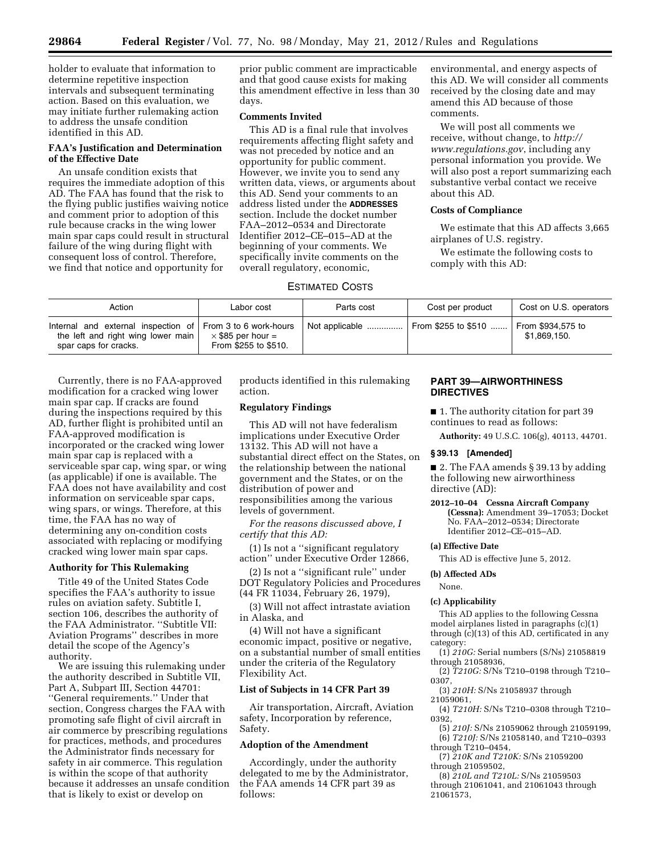holder to evaluate that information to determine repetitive inspection intervals and subsequent terminating action. Based on this evaluation, we may initiate further rulemaking action to address the unsafe condition identified in this AD.

## **FAA's Justification and Determination of the Effective Date**

An unsafe condition exists that requires the immediate adoption of this AD. The FAA has found that the risk to the flying public justifies waiving notice and comment prior to adoption of this rule because cracks in the wing lower main spar caps could result in structural failure of the wing during flight with consequent loss of control. Therefore, we find that notice and opportunity for

prior public comment are impracticable and that good cause exists for making this amendment effective in less than 30 days.

## **Comments Invited**

This AD is a final rule that involves requirements affecting flight safety and was not preceded by notice and an opportunity for public comment. However, we invite you to send any written data, views, or arguments about this AD. Send your comments to an address listed under the **ADDRESSES** section. Include the docket number FAA–2012–0534 and Directorate Identifier 2012–CE–015–AD at the beginning of your comments. We specifically invite comments on the overall regulatory, economic,

## ESTIMATED COSTS

environmental, and energy aspects of this AD. We will consider all comments received by the closing date and may amend this AD because of those comments.

We will post all comments we receive, without change, to *[http://](http://www.regulations.gov) [www.regulations.gov](http://www.regulations.gov)*, including any personal information you provide. We will also post a report summarizing each substantive verbal contact we receive about this AD.

## **Costs of Compliance**

We estimate that this AD affects 3,665 airplanes of U.S. registry.

We estimate the following costs to comply with this AD:

| Action                                                                                                                    | Labor cost                                       | Parts cost     | Cost per product    | Cost on U.S. operators            |
|---------------------------------------------------------------------------------------------------------------------------|--------------------------------------------------|----------------|---------------------|-----------------------------------|
| Internal and external inspection of From 3 to 6 work-hours<br>the left and right wing lower main<br>spar caps for cracks. | $\times$ \$85 per hour =<br>From \$255 to \$510. | Not applicable | From \$255 to \$510 | From \$934,575 to<br>\$1.869.150. |

Currently, there is no FAA-approved modification for a cracked wing lower main spar cap. If cracks are found during the inspections required by this AD, further flight is prohibited until an FAA-approved modification is incorporated or the cracked wing lower main spar cap is replaced with a serviceable spar cap, wing spar, or wing (as applicable) if one is available. The FAA does not have availability and cost information on serviceable spar caps, wing spars, or wings. Therefore, at this time, the FAA has no way of determining any on-condition costs associated with replacing or modifying cracked wing lower main spar caps.

## **Authority for This Rulemaking**

Title 49 of the United States Code specifies the FAA's authority to issue rules on aviation safety. Subtitle I, section 106, describes the authority of the FAA Administrator. ''Subtitle VII: Aviation Programs'' describes in more detail the scope of the Agency's authority.

We are issuing this rulemaking under the authority described in Subtitle VII, Part A, Subpart III, Section 44701: ''General requirements.'' Under that section, Congress charges the FAA with promoting safe flight of civil aircraft in air commerce by prescribing regulations for practices, methods, and procedures the Administrator finds necessary for safety in air commerce. This regulation is within the scope of that authority because it addresses an unsafe condition that is likely to exist or develop on

products identified in this rulemaking action.

## **Regulatory Findings**

This AD will not have federalism implications under Executive Order 13132. This AD will not have a substantial direct effect on the States, on the relationship between the national government and the States, or on the distribution of power and responsibilities among the various levels of government.

*For the reasons discussed above, I certify that this AD:* 

(1) Is not a ''significant regulatory action'' under Executive Order 12866,

(2) Is not a ''significant rule'' under DOT Regulatory Policies and Procedures (44 FR 11034, February 26, 1979),

(3) Will not affect intrastate aviation in Alaska, and

(4) Will not have a significant economic impact, positive or negative, on a substantial number of small entities under the criteria of the Regulatory Flexibility Act.

## **List of Subjects in 14 CFR Part 39**

Air transportation, Aircraft, Aviation safety, Incorporation by reference, Safety.

#### **Adoption of the Amendment**

Accordingly, under the authority delegated to me by the Administrator, the FAA amends 14 CFR part 39 as follows:

## **PART 39—AIRWORTHINESS DIRECTIVES**

■ 1. The authority citation for part 39 continues to read as follows:

**Authority:** 49 U.S.C. 106(g), 40113, 44701.

#### **§ 39.13 [Amended]**

■ 2. The FAA amends § 39.13 by adding the following new airworthiness directive (AD):

**2012–10–04 Cessna Aircraft Company (Cessna):** Amendment 39–17053; Docket No. FAA–2012–0534; Directorate Identifier 2012–CE–015–AD.

#### **(a) Effective Date**

This AD is effective June 5, 2012.

### **(b) Affected ADs**

None.

### **(c) Applicability**

This AD applies to the following Cessna model airplanes listed in paragraphs (c)(1) through (c)(13) of this AD, certificated in any category:

(1) *210G:* Serial numbers (S/Ns) 21058819 through 21058936,

- (2) *T210G:* S/Ns T210–0198 through T210– 0307,
- (3) *210H:* S/Ns 21058937 through

21059061, (4) *T210H:* S/Ns T210–0308 through T210–

- 0392, (5) *210J:* S/Ns 21059062 through 21059199,
- (6) *T210J:* S/Ns 21058140, and T210–0393 through T210–0454,
- (7) *210K and T210K:* S/Ns 21059200 through 21059502,
- (8) *210L and T210L:* S/Ns 21059503 through 21061041, and 21061043 through 21061573,